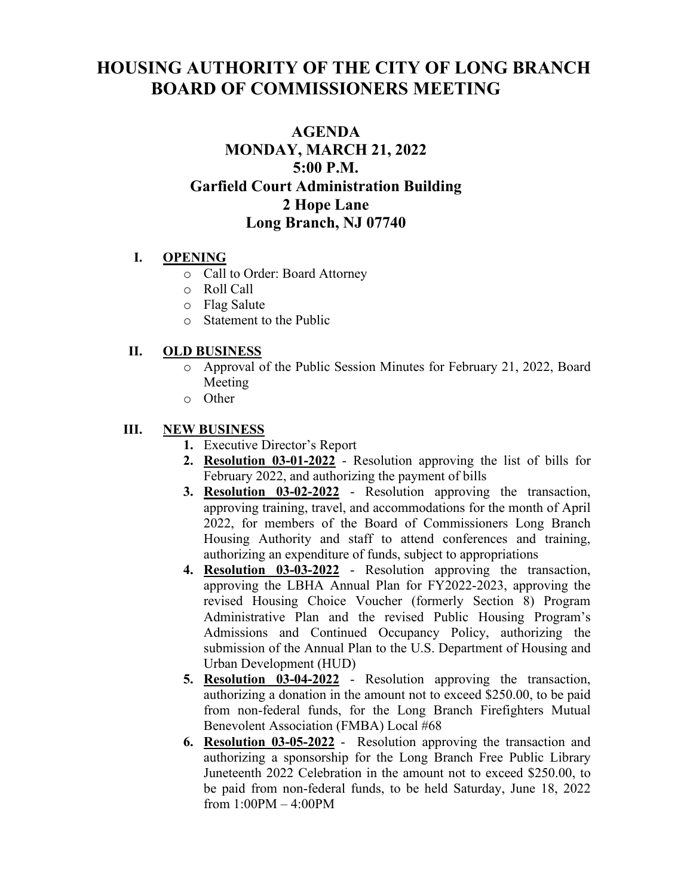# **HOUSING AUTHORITY OF THE CITY OF LONG BRANCH BOARD OF COMMISSIONERS MEETING**

# **AGENDA MONDAY, MARCH 21, 2022 5:00 P.M. Garfield Court Administration Building 2 Hope Lane Long Branch, NJ 07740**

## **I. OPENING**

- o Call to Order: Board Attorney
- o Roll Call
- o Flag Salute
- o Statement to the Public

### **II. OLD BUSINESS**

- o Approval of the Public Session Minutes for February 21, 2022, Board Meeting
- o Other

#### **III. NEW BUSINESS**

- **1.** Executive Director's Report
- **2. Resolution 03-01-2022** Resolution approving the list of bills for February 2022, and authorizing the payment of bills
- **3. Resolution 03-02-2022** Resolution approving the transaction, approving training, travel, and accommodations for the month of April 2022, for members of the Board of Commissioners Long Branch Housing Authority and staff to attend conferences and training, authorizing an expenditure of funds, subject to appropriations
- **4. Resolution 03-03-2022** Resolution approving the transaction, approving the LBHA Annual Plan for FY2022-2023, approving the revised Housing Choice Voucher (formerly Section 8) Program Administrative Plan and the revised Public Housing Program's Admissions and Continued Occupancy Policy, authorizing the submission of the Annual Plan to the U.S. Department of Housing and Urban Development (HUD)
- **5. Resolution 03-04-2022** Resolution approving the transaction, authorizing a donation in the amount not to exceed \$250.00, to be paid from non-federal funds, for the Long Branch Firefighters Mutual Benevolent Association (FMBA) Local #68
- **6. Resolution 03-05-2022** Resolution approving the transaction and authorizing a sponsorship for the Long Branch Free Public Library Juneteenth 2022 Celebration in the amount not to exceed \$250.00, to be paid from non-federal funds, to be held Saturday, June 18, 2022 from 1:00PM – 4:00PM